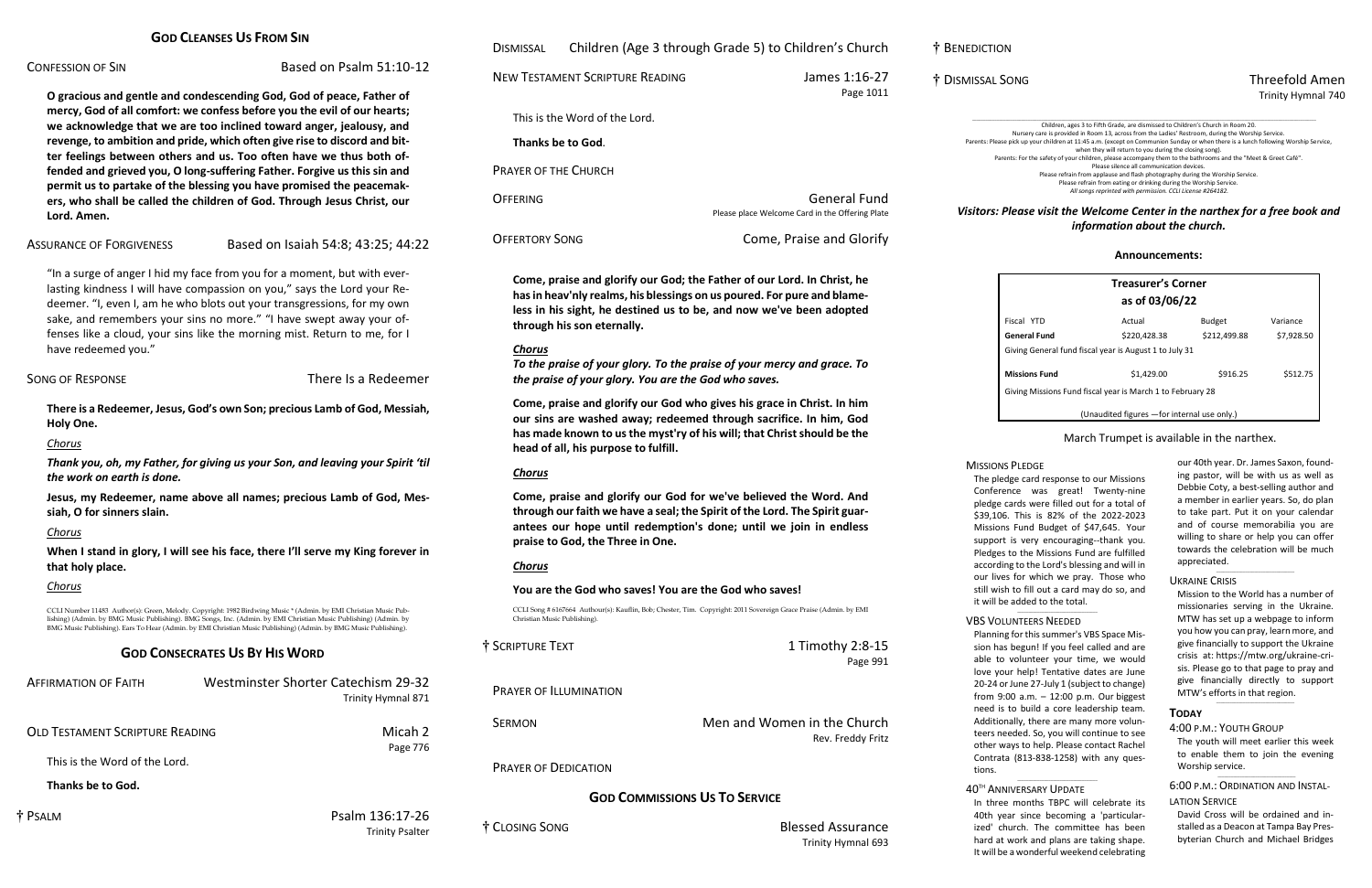# † DISMISSAL SONG Threefold Amen Trinity Hymnal 740

\_\_\_\_\_\_\_\_\_\_\_\_\_\_\_\_\_\_\_\_\_\_\_\_\_\_\_\_\_\_\_\_\_\_\_\_\_\_\_\_\_\_\_\_\_\_\_\_\_\_\_\_\_\_\_\_\_\_\_\_\_\_\_\_\_\_\_\_\_\_\_\_\_\_\_\_\_\_\_\_\_\_\_\_\_\_\_\_\_\_\_\_\_\_\_\_\_\_\_\_\_\_\_\_\_\_\_\_\_\_\_\_\_\_\_\_\_\_\_\_\_\_\_\_\_\_\_\_\_\_\_\_\_\_\_\_\_\_\_\_\_\_\_\_\_\_\_\_\_\_\_\_\_\_ Children, ages 3 to Fifth Grade, are dismissed to Children's Church in Room 20. Nursery care is provided in Room 13, across from the Ladies' Restroom, during the Worship Service. Parents: Please pick up your children at 11:45 a.m. (except on Communion Sunday or when there is a lunch following Worship Service, when they will return to you during the closing song). Parents: For the safety of your children, please accompany them to the bathrooms and the "Meet & Greet Café". Please silence all communication devices. Please refrain from applause and flash photography during the Worship Service. Please refrain from eating or drinking during the Worship Service. *All songs reprinted with permission. CCLI License #264182.*

*Please visit the Welcome Center in the narthex for a free book and information about the church.*

# **GOD CLEANSES US FROM SIN**

# CONFESSION OF SIN Based on Psalm 51:10-12

**O gracious and gentle and condescending God, God of peace, Father of mercy, God of all comfort: we confess before you the evil of our hearts; we acknowledge that we are too inclined toward anger, jealousy, and revenge, to ambition and pride, which often give rise to discord and bitter feelings between others and us. Too often have we thus both offended and grieved you, O long-suffering Father. Forgive us this sin and permit us to partake of the blessing you have promised the peacemakers, who shall be called the children of God. Through Jesus Christ, our Lord. Amen.**

ASSURANCE OF FORGIVENESS Based on Isaiah 54:8; 43:25; 44:22

"In a surge of anger I hid my face from you for a moment, but with everlasting kindness I will have compassion on you," says the Lord your Redeemer. "I, even I, am he who blots out your transgressions, for my own sake, and remembers your sins no more." "I have swept away your offenses like a cloud, your sins like the morning mist. Return to me, for I have redeemed you."

## Song of Response There Is a Redeemer

**There is a Redeemer, Jesus, God's own Son; precious Lamb of God, Messiah, Holy One.**

## *Chorus*

*Thank you, oh, my Father, for giving us your Son, and leaving your Spirit 'til the work on earth is done.*

**Jesus, my Redeemer, name above all names; precious Lamb of God, Messiah, O for sinners slain.**

## *Chorus*

**When I stand in glory, I will see his face, there I'll serve my King forever in that holy place.**

## *Chorus*

CCLI Number 11483 Author(s): Green, Melody. Copyright: 1982 Birdwing Music \* (Admin. by EMI Christian Music Publishing) (Admin. by BMG Music Publishing). BMG Songs, Inc. (Admin. by EMI Christian Music Publishing) (Admin. by BMG Music Publishing). Ears To Hear (Admin. by EMI Christian Music Publishing) (Admin. by BMG Music Publishing).

# **GOD CONSECRATES US BY HIS WORD**

#### $\_$ 6:00 P.M.: ORDINATION AND INSTAL-

| <b>AFFIRMATION OF FAITH</b>     | Westminster Shorter Catechism 29-32<br>Trinity Hymnal 871 |
|---------------------------------|-----------------------------------------------------------|
| OLD TESTAMENT SCRIPTURE READING | Micah 2<br>Page 776                                       |
| This is the Word of the Lord.   |                                                           |
| Thanks be to God.               |                                                           |
| † Psalm                         | Psalm 136:17-26<br><b>Trinity Psalter</b>                 |

| <b>DISMISSAL</b>            | Children (Age 3 through Grade 5) to Children's Church |                                                                        | † BENEDICTI      |
|-----------------------------|-------------------------------------------------------|------------------------------------------------------------------------|------------------|
|                             | <b>NEW TESTAMENT SCRIPTURE READING</b>                | James 1:16-27<br>Page 1011                                             | † DISMISSAL      |
|                             | This is the Word of the Lord.                         |                                                                        |                  |
|                             | Thanks be to God.                                     |                                                                        | Parents: Plea    |
| <b>PRAYER OF THE CHURCH</b> |                                                       |                                                                        | P.               |
| <b>OFFERING</b>             |                                                       | <b>General Fund</b><br>Please place Welcome Card in the Offering Plate | <b>Visitors:</b> |
| <b>OFFERTORY SONG</b>       |                                                       | Come, Praise and Glorify                                               |                  |
|                             |                                                       |                                                                        |                  |

**Come, praise and glorify our God; the Father of our Lord. In Christ, he has in heav'nly realms, his blessings on us poured. For pure and blameless in his sight, he destined us to be, and now we've been adopted through his son eternally.**

## *Chorus*

*To the praise of your glory. To the praise of your mercy and grace. To the praise of your glory. You are the God who saves.*

**Come, praise and glorify our God who gives his grace in Christ. In him our sins are washed away; redeemed through sacrifice. In him, God has made known to us the myst'ry of his will; that Christ should be the head of all, his purpose to fulfill.**

## *Chorus*

**Come, praise and glorify our God for we've believed the Word. And through our faith we have a seal; the Spirit of the Lord. The Spirit guarantees our hope until redemption's done; until we join in endless praise to God, the Three in One.**

## *Chorus*

#### **You are the God who saves! You are the God who saves!**

CCLI Song # 6167664 Authour(s): Kauflin, Bob; Chester, Tim. Copyright: 2011 Sovereign Grace Praise (Admin. by EMI Christian Music Publishing).

† SCRIPTURE TEXT 1 Timothy 2:8-15

Page 991

# PRAYER OF ILLUMINATION

SERMON Men and Women in the Church Rev. Freddy Fritz

PRAYER OF DEDICATION

# **GOD COMMISSIONS US TO SERVICE**

† CLOSING SONG Blessed Assurance Trinity Hymnal 693 ON

## **Announcements:**

| <b>Treasurer's Corner</b><br>as of 03/06/22                |              |               |            |  |
|------------------------------------------------------------|--------------|---------------|------------|--|
| Fiscal YTD                                                 | Actual       | <b>Budget</b> | Variance   |  |
| General Fund                                               | \$220,428.38 | \$212,499.88  | \$7,928.50 |  |
| Giving General fund fiscal year is August 1 to July 31     |              |               |            |  |
| Missions Fund                                              | \$1,429.00   | \$916.25      | \$512.75   |  |
| Giving Missions Fund fiscal year is March 1 to February 28 |              |               |            |  |
| (Unaudited figures - for internal use only.)               |              |               |            |  |

## March Trumpet is available in the narthex.

## **MISSIONS PLEDGE**

our 40th year. Dr. James Saxon, founding pastor, will be with us as well as Debbie Coty, a best-selling author and a member in earlier years. So, do plan to take part. Put it on your calendar and of course memorabilia you are willing to share or help you can offer towards the celebration will be much appreciated.

 $\_$ 

#### UKRAINE CRISIS

Mission to the World has a number of missionaries serving in the Ukraine. MTW has set up a webpage to inform you how you can pray, learn more, and give financially to support the Ukraine crisis at: [https://mtw.org/ukraine-cri](https://mtw.org/ukraine-crisis)[sis.](https://mtw.org/ukraine-crisis) Please go to that page to pray and give financially directly to support MTW's efforts in that region.

## **TODAY**

#### 4:00 P.M.: YOUTH GROUP

The youth will meet earlier this week to enable them to join the evening Worship service.

 $\_$ 

#### LATION SERVICE

David Cross will be ordained and installed as a Deacon at Tampa Bay Presbyterian Church and Michael Bridges

The pledge card response to our Missions Conference was great! Twenty-nine pledge cards were filled out for a total of \$39,106. This is 82% of the 2022-2023 Missions Fund Budget of \$47,645. Your support is very encouraging--thank you. Pledges to the Missions Fund are fulfilled according to the Lord's blessing and will in our lives for which we pray. Those who still wish to fill out a card may do so, and it will be added to the total.

#### VBS VOLUNTEERS NEEDED

 $\_$ 

Planning for this summer's VBS Space Mission has begun! If you feel called and are able to volunteer your time, we would love your help! Tentative dates are June 20-24 or June 27-July 1 (subject to change) from 9:00 a.m. – 12:00 p.m. Our biggest need is to build a core leadership team. Additionally, there are many more volunteers needed. So, you will continue to see other ways to help. Please contact Rachel Contrata (813-838-1258) with any questions.

#### 40TH ANNIVERSARY UPDATE

 $\_$ 

In three months TBPC will celebrate its 40th year since becoming a 'particularized' church. The committee has been hard at work and plans are taking shape. It will be a wonderful weekend celebrating